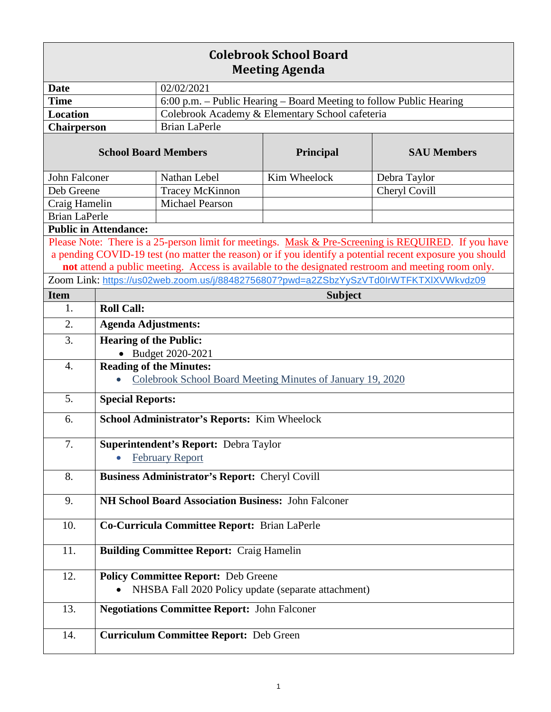| <b>Colebrook School Board</b><br><b>Meeting Agenda</b>                                                                                                                                                         |                                                                                       |                                                                     |                                                     |                                                                                                     |  |
|----------------------------------------------------------------------------------------------------------------------------------------------------------------------------------------------------------------|---------------------------------------------------------------------------------------|---------------------------------------------------------------------|-----------------------------------------------------|-----------------------------------------------------------------------------------------------------|--|
| <b>Date</b>                                                                                                                                                                                                    |                                                                                       | 02/02/2021                                                          |                                                     |                                                                                                     |  |
| <b>Time</b>                                                                                                                                                                                                    |                                                                                       | 6:00 p.m. - Public Hearing - Board Meeting to follow Public Hearing |                                                     |                                                                                                     |  |
| <b>Location</b>                                                                                                                                                                                                |                                                                                       | Colebrook Academy & Elementary School cafeteria                     |                                                     |                                                                                                     |  |
| <b>Chairperson</b>                                                                                                                                                                                             |                                                                                       | <b>Brian LaPerle</b>                                                |                                                     |                                                                                                     |  |
| <b>School Board Members</b>                                                                                                                                                                                    |                                                                                       |                                                                     | <b>Principal</b>                                    | <b>SAU Members</b>                                                                                  |  |
| John Falconer                                                                                                                                                                                                  |                                                                                       | Nathan Lebel                                                        | Kim Wheelock                                        | Debra Taylor                                                                                        |  |
| Deb Greene                                                                                                                                                                                                     |                                                                                       | <b>Tracey McKinnon</b>                                              |                                                     | Cheryl Covill                                                                                       |  |
| Craig Hamelin                                                                                                                                                                                                  |                                                                                       | <b>Michael Pearson</b>                                              |                                                     |                                                                                                     |  |
| <b>Brian LaPerle</b>                                                                                                                                                                                           |                                                                                       |                                                                     |                                                     |                                                                                                     |  |
| <b>Public in Attendance:</b>                                                                                                                                                                                   |                                                                                       |                                                                     |                                                     |                                                                                                     |  |
|                                                                                                                                                                                                                |                                                                                       |                                                                     |                                                     | Please Note: There is a 25-person limit for meetings. Mask & Pre-Screening is REQUIRED. If you have |  |
| a pending COVID-19 test (no matter the reason) or if you identify a potential recent exposure you should<br>not attend a public meeting. Access is available to the designated restroom and meeting room only. |                                                                                       |                                                                     |                                                     |                                                                                                     |  |
|                                                                                                                                                                                                                |                                                                                       |                                                                     |                                                     |                                                                                                     |  |
|                                                                                                                                                                                                                | Zoom Link: https://us02web.zoom.us/j/88482756807?pwd=a2ZSbzYySzVTd0IrWTFKTXIXVWkvdz09 |                                                                     |                                                     |                                                                                                     |  |
| <b>Item</b>                                                                                                                                                                                                    | <b>Subject</b>                                                                        |                                                                     |                                                     |                                                                                                     |  |
| 1.                                                                                                                                                                                                             | <b>Roll Call:</b>                                                                     |                                                                     |                                                     |                                                                                                     |  |
| 2.                                                                                                                                                                                                             | <b>Agenda Adjustments:</b>                                                            |                                                                     |                                                     |                                                                                                     |  |
| 3.                                                                                                                                                                                                             | <b>Hearing of the Public:</b><br>• Budget 2020-2021                                   |                                                                     |                                                     |                                                                                                     |  |
| $\overline{4}$ .                                                                                                                                                                                               | <b>Reading of the Minutes:</b>                                                        |                                                                     |                                                     |                                                                                                     |  |
|                                                                                                                                                                                                                | Colebrook School Board Meeting Minutes of January 19, 2020                            |                                                                     |                                                     |                                                                                                     |  |
| 5.                                                                                                                                                                                                             | <b>Special Reports:</b>                                                               |                                                                     |                                                     |                                                                                                     |  |
| 6.                                                                                                                                                                                                             | School Administrator's Reports: Kim Wheelock                                          |                                                                     |                                                     |                                                                                                     |  |
| 7.                                                                                                                                                                                                             | Superintendent's Report: Debra Taylor                                                 |                                                                     |                                                     |                                                                                                     |  |
|                                                                                                                                                                                                                | <b>February Report</b>                                                                |                                                                     |                                                     |                                                                                                     |  |
| 8.                                                                                                                                                                                                             | <b>Business Administrator's Report: Cheryl Covill</b>                                 |                                                                     |                                                     |                                                                                                     |  |
| 9.                                                                                                                                                                                                             | NH School Board Association Business: John Falconer                                   |                                                                     |                                                     |                                                                                                     |  |
| 10.                                                                                                                                                                                                            | Co-Curricula Committee Report: Brian LaPerle                                          |                                                                     |                                                     |                                                                                                     |  |
| 11.                                                                                                                                                                                                            | <b>Building Committee Report: Craig Hamelin</b>                                       |                                                                     |                                                     |                                                                                                     |  |
| 12.                                                                                                                                                                                                            |                                                                                       | <b>Policy Committee Report: Deb Greene</b>                          |                                                     |                                                                                                     |  |
|                                                                                                                                                                                                                |                                                                                       |                                                                     | NHSBA Fall 2020 Policy update (separate attachment) |                                                                                                     |  |
| 13.                                                                                                                                                                                                            | <b>Negotiations Committee Report: John Falconer</b>                                   |                                                                     |                                                     |                                                                                                     |  |
| 14.                                                                                                                                                                                                            |                                                                                       | <b>Curriculum Committee Report: Deb Green</b>                       |                                                     |                                                                                                     |  |